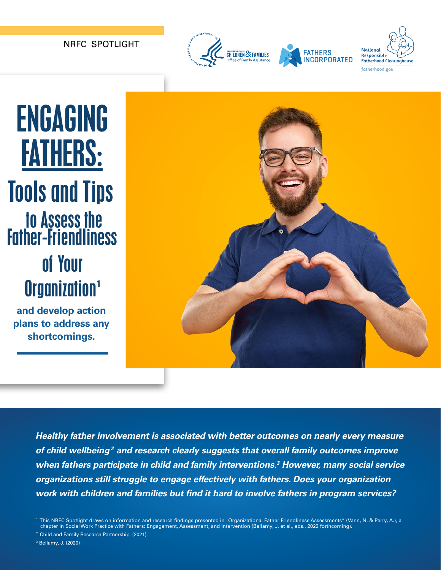NRFC SPOTLIGHT



# ENGAGING FATHERS: Tools and Tips to Assess the Father-Friendliness of Your Organization<sup>1</sup>

**and develop action plans to address any shortcomings.** 



*Healthy father involvement is associated with better outcomes on nearly every measure of child wellbeing 2 and research clearly suggests that overall family outcomes improve when fathers participate in child and family interventions.3 However, many social service organizations still struggle to engage effectively with fathers. Does your organization work with children and families but fnd it hard to involve fathers in program services?* 

3 Bellamy, J. (2020)

 <sup>&</sup>quot; 1 This NRFC Spotlight draws on information and research fndings presented in Organizational Father Friendliness Assessments" (Vann, N. & Perry, A.), a chapter in Social Work Practice with Fathers: Engagement, Assessment, and Intervention (Bellamy, J. et al., eds., 2022 forthcoming).

<sup>2</sup> Child and Family Research Partnership. (2021)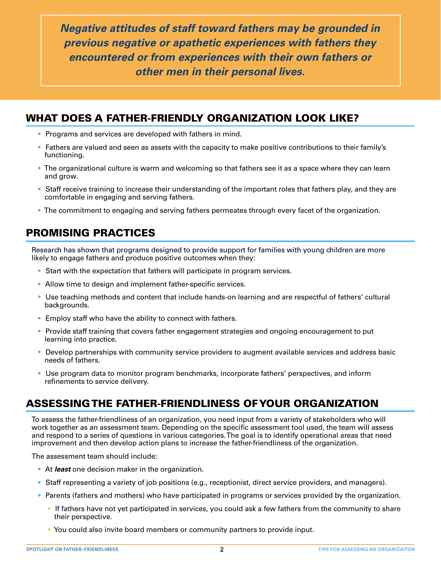*Negative attitudes of staff toward fathers may be grounded in previous negative or apathetic experiences with fathers they encountered or from experiences with their own fathers or other men in their personal lives.* 

#### WHAT DOES A FATHER-FRIENDLY ORGANIZATION LOOK LIKE?

- Programs and services are developed with fathers in mind.
- Fathers are valued and seen as assets with the capacity to make positive contributions to their family's functioning.
- The organizational culture is warm and welcoming so that fathers see it as a space where they can learn and grow.
- Staff receive training to increase their understanding of the important roles that fathers play, and they are comfortable in engaging and serving fathers.
- The commitment to engaging and serving fathers permeates through every facet of the organization.

#### PROMISING PRACTICES

Research has shown that programs designed to provide support for families with young children are more likely to engage fathers and produce positive outcomes when they:

- Start with the expectation that fathers will participate in program services.
- Allow time to design and implement father-specific services.
- Use teaching methods and content that include hands-on learning and are respectful of fathers' cultural backgrounds.
- Employ staff who have the ability to connect with fathers.
- Provide staff training that covers father engagement strategies and ongoing encouragement to put learning into practice.
- Develop partnerships with community service providers to augment available services and address basic needs of fathers.
- Use program data to monitor program benchmarks, incorporate fathers' perspectives, and inform refinements to service delivery.

#### ASSESSING THE FATHER-FRIENDLINESS OF YOUR ORGANIZATION

To assess the father-friendliness of an organization, you need input from a variety of stakeholders who will work together as an assessment team. Depending on the specifc assessment tool used, the team will assess and respond to a series of questions in various categories. The goal is to identify operational areas that need improvement and then develop action plans to increase the father-friendliness of the organization.

The assessment team should include:

- At *least* one decision maker in the organization.
- Staff representing a variety of job positions (e.g., receptionist, direct service providers, and managers).
- Parents (fathers and mothers) who have participated in programs or services provided by the organization.
	- If fathers have not yet participated in services, you could ask a few fathers from the community to share their perspective.
	- You could also invite board members or community partners to provide input.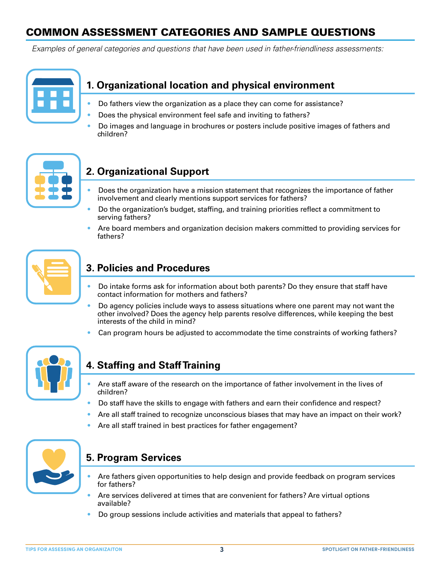### COMMON ASSESSMENT CATEGORIES AND SAMPLE QUESTIONS

*Examples of general categories and questions that have been used in father-friendliness assessments:* 

#### **1. Organizational location and physical environment**

- Do fathers view the organization as a place they can come for assistance?
- Does the physical environment feel safe and inviting to fathers?
- Do images and language in brochures or posters include positive images of fathers and children?



#### **2. Organizational Support**

- Does the organization have a mission statement that recognizes the importance of father involvement and clearly mentions support services for fathers?
- Do the organization's budget, staffng, and training priorities refect a commitment to serving fathers?
- Are board members and organization decision makers committed to providing services for fathers?



#### **3. Policies and Procedures**

- Do intake forms ask for information about both parents? Do they ensure that staff have contact information for mothers and fathers?
- Do agency policies include ways to assess situations where one parent may not want the other involved? Does the agency help parents resolve differences, while keeping the best interests of the child in mind?
- Can program hours be adjusted to accommodate the time constraints of working fathers?



#### **4. Staffing and Staff Training**

- Are staff aware of the research on the importance of father involvement in the lives of children?
- Do staff have the skills to engage with fathers and earn their confdence and respect?
- Are all staff trained to recognize unconscious biases that may have an impact on their work?
- Are all staff trained in best practices for father engagement?



#### **5. Program Services**

- Are fathers given opportunities to help design and provide feedback on program services for fathers?
- Are services delivered at times that are convenient for fathers? Are virtual options available?
- Do group sessions include activities and materials that appeal to fathers?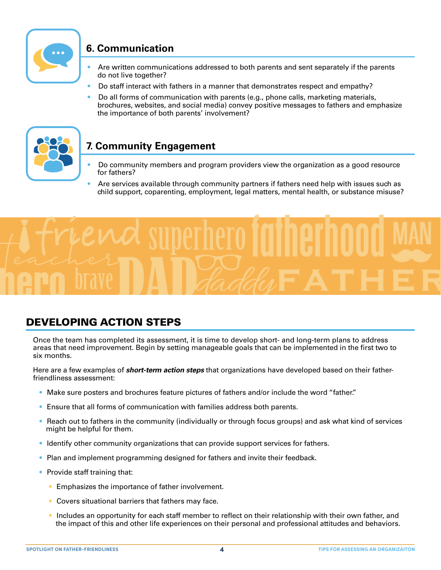

#### **6. Communication**

- Are written communications addressed to both parents and sent separately if the parents do not live together?
- Do staff interact with fathers in a manner that demonstrates respect and empathy?
- Do all forms of communication with parents (e.g., phone calls, marketing materials, brochures, websites, and social media) convey positive messages to fathers and emphasize the importance of both parents' involvement?



#### **7. Community Engagement**

- Do community members and program providers view the organization as a good resource for fathers?
- Are services available through community partners if fathers need help with issues such as child support, coparenting, employment, legal matters, mental health, or substance misuse?



#### DEVELOPING ACTION STEPS

Once the team has completed its assessment, it is time to develop short- and long-term plans to address areas that need improvement. Begin by setting manageable goals that can be implemented in the frst two to six months.

Here are a few examples of *short-term action steps* that organizations have developed based on their fatherfriendliness assessment:

- Make sure posters and brochures feature pictures of fathers and/or include the word "father."
- Ensure that all forms of communication with families address both parents.
- Reach out to fathers in the community (individually or through focus groups) and ask what kind of services might be helpful for them.
- Identify other community organizations that can provide support services for fathers.
- Plan and implement programming designed for fathers and invite their feedback.
- Provide staff training that:
	- Emphasizes the importance of father involvement.
	- Covers situational barriers that fathers may face.
	- Includes an opportunity for each staff member to reflect on their relationship with their own father, and the impact of this and other life experiences on their personal and professional attitudes and behaviors.